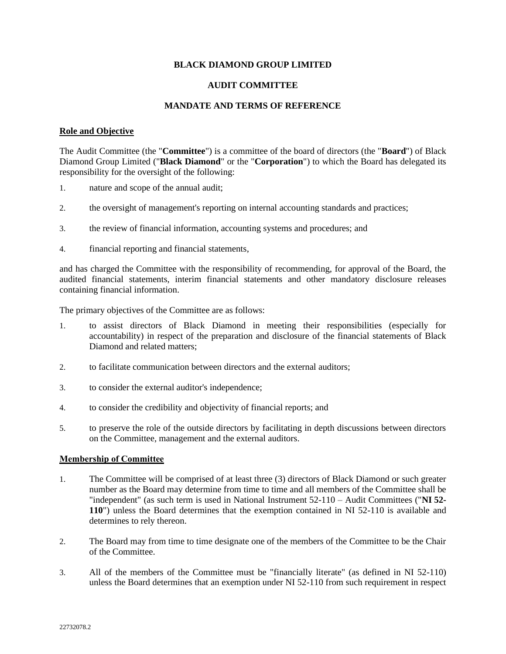## **BLACK DIAMOND GROUP LIMITED**

## **AUDIT COMMITTEE**

## **MANDATE AND TERMS OF REFERENCE**

#### **Role and Objective**

The Audit Committee (the "**Committee**") is a committee of the board of directors (the "**Board**") of Black Diamond Group Limited ("**Black Diamond**" or the "**Corporation**") to which the Board has delegated its responsibility for the oversight of the following:

- 1. nature and scope of the annual audit;
- 2. the oversight of management's reporting on internal accounting standards and practices;
- 3. the review of financial information, accounting systems and procedures; and
- 4. financial reporting and financial statements,

and has charged the Committee with the responsibility of recommending, for approval of the Board, the audited financial statements, interim financial statements and other mandatory disclosure releases containing financial information.

The primary objectives of the Committee are as follows:

- 1. to assist directors of Black Diamond in meeting their responsibilities (especially for accountability) in respect of the preparation and disclosure of the financial statements of Black Diamond and related matters;
- 2. to facilitate communication between directors and the external auditors;
- 3. to consider the external auditor's independence;
- 4. to consider the credibility and objectivity of financial reports; and
- 5. to preserve the role of the outside directors by facilitating in depth discussions between directors on the Committee, management and the external auditors.

## **Membership of Committee**

- 1. The Committee will be comprised of at least three (3) directors of Black Diamond or such greater number as the Board may determine from time to time and all members of the Committee shall be "independent" (as such term is used in National Instrument 52-110 – Audit Committees ("**NI 52- 110**") unless the Board determines that the exemption contained in NI 52-110 is available and determines to rely thereon.
- 2. The Board may from time to time designate one of the members of the Committee to be the Chair of the Committee.
- 3. All of the members of the Committee must be "financially literate" (as defined in NI 52-110) unless the Board determines that an exemption under NI 52-110 from such requirement in respect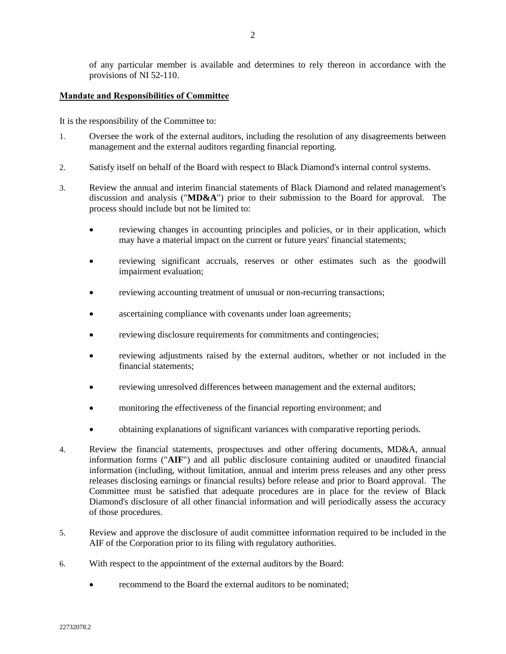of any particular member is available and determines to rely thereon in accordance with the provisions of NI 52-110.

#### **Mandate and Responsibilities of Committee**

It is the responsibility of the Committee to:

- 1. Oversee the work of the external auditors, including the resolution of any disagreements between management and the external auditors regarding financial reporting.
- 2. Satisfy itself on behalf of the Board with respect to Black Diamond's internal control systems.
- 3. Review the annual and interim financial statements of Black Diamond and related management's discussion and analysis ("**MD&A**") prior to their submission to the Board for approval. The process should include but not be limited to:
	- reviewing changes in accounting principles and policies, or in their application, which may have a material impact on the current or future years' financial statements;
	- reviewing significant accruals, reserves or other estimates such as the goodwill impairment evaluation;
	- reviewing accounting treatment of unusual or non-recurring transactions;
	- ascertaining compliance with covenants under loan agreements;
	- reviewing disclosure requirements for commitments and contingencies;
	- reviewing adjustments raised by the external auditors, whether or not included in the financial statements;
	- reviewing unresolved differences between management and the external auditors;
	- monitoring the effectiveness of the financial reporting environment; and
	- obtaining explanations of significant variances with comparative reporting periods.
- 4. Review the financial statements, prospectuses and other offering documents, MD&A, annual information forms ("**AIF**") and all public disclosure containing audited or unaudited financial information (including, without limitation, annual and interim press releases and any other press releases disclosing earnings or financial results) before release and prior to Board approval. The Committee must be satisfied that adequate procedures are in place for the review of Black Diamond's disclosure of all other financial information and will periodically assess the accuracy of those procedures.
- 5. Review and approve the disclosure of audit committee information required to be included in the AIF of the Corporation prior to its filing with regulatory authorities.
- 6. With respect to the appointment of the external auditors by the Board:
	- recommend to the Board the external auditors to be nominated: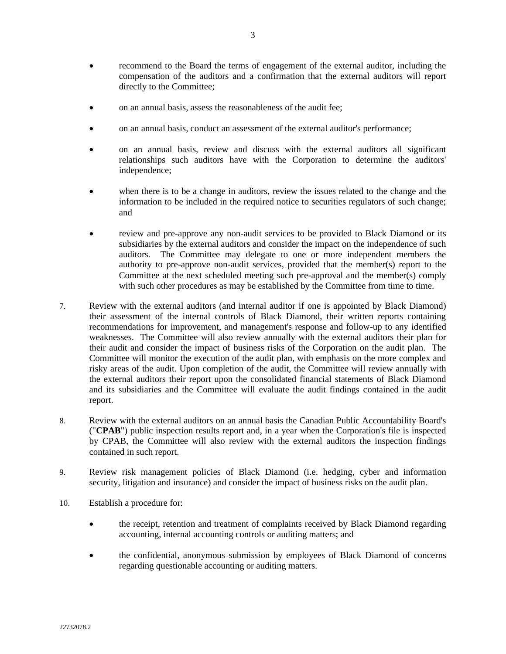- recommend to the Board the terms of engagement of the external auditor, including the compensation of the auditors and a confirmation that the external auditors will report directly to the Committee;
- on an annual basis, assess the reasonableness of the audit fee;
- on an annual basis, conduct an assessment of the external auditor's performance;
- on an annual basis, review and discuss with the external auditors all significant relationships such auditors have with the Corporation to determine the auditors' independence;
- when there is to be a change in auditors, review the issues related to the change and the information to be included in the required notice to securities regulators of such change; and
- review and pre-approve any non-audit services to be provided to Black Diamond or its subsidiaries by the external auditors and consider the impact on the independence of such auditors. The Committee may delegate to one or more independent members the authority to pre-approve non-audit services, provided that the member(s) report to the Committee at the next scheduled meeting such pre-approval and the member(s) comply with such other procedures as may be established by the Committee from time to time.
- 7. Review with the external auditors (and internal auditor if one is appointed by Black Diamond) their assessment of the internal controls of Black Diamond, their written reports containing recommendations for improvement, and management's response and follow-up to any identified weaknesses. The Committee will also review annually with the external auditors their plan for their audit and consider the impact of business risks of the Corporation on the audit plan. The Committee will monitor the execution of the audit plan, with emphasis on the more complex and risky areas of the audit. Upon completion of the audit, the Committee will review annually with the external auditors their report upon the consolidated financial statements of Black Diamond and its subsidiaries and the Committee will evaluate the audit findings contained in the audit report.
- 8. Review with the external auditors on an annual basis the Canadian Public Accountability Board's ("**CPAB**") public inspection results report and, in a year when the Corporation's file is inspected by CPAB, the Committee will also review with the external auditors the inspection findings contained in such report.
- 9. Review risk management policies of Black Diamond (i.e. hedging, cyber and information security, litigation and insurance) and consider the impact of business risks on the audit plan.
- 10. Establish a procedure for:
	- the receipt, retention and treatment of complaints received by Black Diamond regarding accounting, internal accounting controls or auditing matters; and
	- the confidential, anonymous submission by employees of Black Diamond of concerns regarding questionable accounting or auditing matters.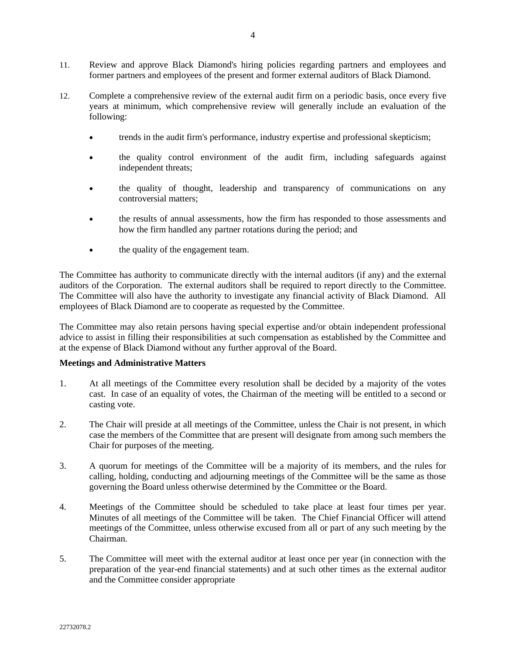- 11. Review and approve Black Diamond's hiring policies regarding partners and employees and former partners and employees of the present and former external auditors of Black Diamond.
- 12. Complete a comprehensive review of the external audit firm on a periodic basis, once every five years at minimum, which comprehensive review will generally include an evaluation of the following:
	- trends in the audit firm's performance, industry expertise and professional skepticism;
	- the quality control environment of the audit firm, including safeguards against independent threats;
	- the quality of thought, leadership and transparency of communications on any controversial matters;
	- the results of annual assessments, how the firm has responded to those assessments and how the firm handled any partner rotations during the period; and
	- the quality of the engagement team.

The Committee has authority to communicate directly with the internal auditors (if any) and the external auditors of the Corporation. The external auditors shall be required to report directly to the Committee. The Committee will also have the authority to investigate any financial activity of Black Diamond. All employees of Black Diamond are to cooperate as requested by the Committee.

The Committee may also retain persons having special expertise and/or obtain independent professional advice to assist in filling their responsibilities at such compensation as established by the Committee and at the expense of Black Diamond without any further approval of the Board.

# **Meetings and Administrative Matters**

- 1. At all meetings of the Committee every resolution shall be decided by a majority of the votes cast. In case of an equality of votes, the Chairman of the meeting will be entitled to a second or casting vote.
- 2. The Chair will preside at all meetings of the Committee, unless the Chair is not present, in which case the members of the Committee that are present will designate from among such members the Chair for purposes of the meeting.
- 3. A quorum for meetings of the Committee will be a majority of its members, and the rules for calling, holding, conducting and adjourning meetings of the Committee will be the same as those governing the Board unless otherwise determined by the Committee or the Board.
- 4. Meetings of the Committee should be scheduled to take place at least four times per year. Minutes of all meetings of the Committee will be taken. The Chief Financial Officer will attend meetings of the Committee, unless otherwise excused from all or part of any such meeting by the Chairman.
- 5. The Committee will meet with the external auditor at least once per year (in connection with the preparation of the year-end financial statements) and at such other times as the external auditor and the Committee consider appropriate